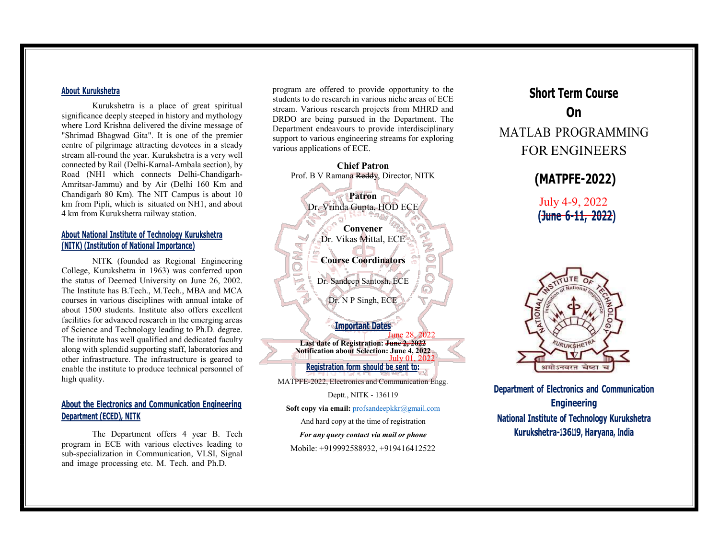#### About Kurukshetra

Kurukshetra is a place of great spiritual significance deeply steeped in history and mythology where Lord Krishna delivered the divine message of "Shrimad Bhagwad Gita". It is one of the premier centre of pilgrimage attracting devotees in a steady stream all-round the year. Kurukshetra is a very well connected by Rail (Delhi-Karnal-Ambala section), by Road (NH1 which connects Delhi-Chandigarh-Amritsar-Jammu) and by Air (Delhi 160 Km and Chandigarh 80 Km). The NIT Campus is about 10 km from Pipli, which is situated on NH1, and about 4 km from Kurukshetra railway station.

### About National Institute of Technology Kurukshetra (NITK) (Institution of National Importance)

NITK (founded as Regional Engineering College, Kurukshetra in 1963) was conferred upon the status of Deemed University on June 26, 2002. The Institute has B.Tech., M.Tech., MBA and MCA courses in various disciplines with annual intake of about 1500 students. Institute also offers excellent facilities for advanced research in the emerging areas of Science and Technology leading to Ph.D. degree. The institute has well qualified and dedicated faculty along with splendid supporting staff, laboratories and other infrastructure. The infrastructure is geared to enable the institute to produce technical personnel of high quality.

# About the Electronics and Communication Engineering Department (ECED), NITK

The Department offers 4 year B. Tech program in ECE with various electives leading to sub-specialization in Communication, VLSI, Signal and image processing etc. M. Tech. and Ph.D.

program are offered to provide opportunity to the students to do research in various niche areas of ECE stream. Various research projects from MHRD and DRDO are being pursued in the Department. The Department endeavours to provide interdisciplinary support to various engineering streams for exploring various applications of ECE.



And hard copy at the time of registration

For any query contact via mail or phone

Mobile: +919992588932, +919416412522

# Short Term Course On the contract of the contract of the contract of the contract of the contract of the contract of the contract of the contract of the contract of the contract of the contract of the contract of the contract of the contrac MATLAB PROGRAMMING FOR ENGINEERS

# (MATPFE-2022)

July 4-9, 2022 (June 6-11, 2022)



Department of Electronics and Communication Engineering National Institute of Technology Kurukshetra Kurukshetra-136119, Haryana, India